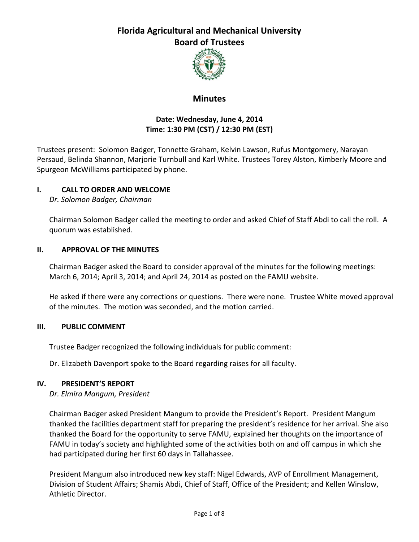

### **Minutes**

#### **Date: Wednesday, June 4, 2014 Time: 1:30 PM (CST) / 12:30 PM (EST)**

Trustees present: Solomon Badger, Tonnette Graham, Kelvin Lawson, Rufus Montgomery, Narayan Persaud, Belinda Shannon, Marjorie Turnbull and Karl White. Trustees Torey Alston, Kimberly Moore and Spurgeon McWilliams participated by phone.

#### **I. CALL TO ORDER AND WELCOME**

*Dr. Solomon Badger, Chairman*

Chairman Solomon Badger called the meeting to order and asked Chief of Staff Abdi to call the roll. A quorum was established.

#### **II. APPROVAL OF THE MINUTES**

Chairman Badger asked the Board to consider approval of the minutes for the following meetings: March 6, 2014; April 3, 2014; and April 24, 2014 as posted on the FAMU website.

He asked if there were any corrections or questions. There were none. Trustee White moved approval of the minutes. The motion was seconded, and the motion carried.

#### **III. PUBLIC COMMENT**

Trustee Badger recognized the following individuals for public comment:

Dr. Elizabeth Davenport spoke to the Board regarding raises for all faculty.

#### **IV. PRESIDENT'S REPORT**

*Dr. Elmira Mangum, President*

Chairman Badger asked President Mangum to provide the President's Report. President Mangum thanked the facilities department staff for preparing the president's residence for her arrival. She also thanked the Board for the opportunity to serve FAMU, explained her thoughts on the importance of FAMU in today's society and highlighted some of the activities both on and off campus in which she had participated during her first 60 days in Tallahassee.

President Mangum also introduced new key staff: Nigel Edwards, AVP of Enrollment Management, Division of Student Affairs; Shamis Abdi, Chief of Staff, Office of the President; and Kellen Winslow, Athletic Director.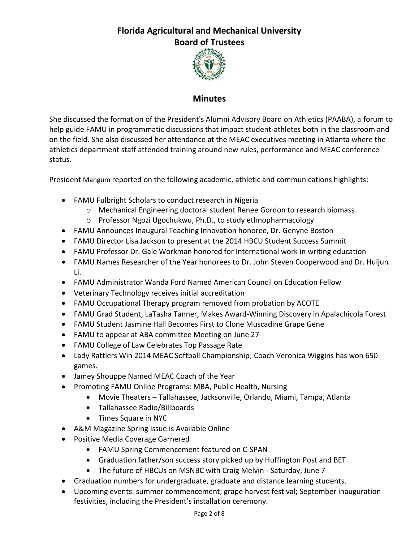

### **Minutes**

She discussed the formation of the President's Alumni Advisory Board on Athletics (PAABA), a forum to help guide FAMU in programmatic discussions that impact student-athletes both in the classroom and on the field. She also discussed her attendance at the MEAC executives meeting in Atlanta where the athletics department staff attended training around new rules, performance and MEAC conference status.

President Mangum reported on the following academic, athletic and communications highlights:

- FAMU Fulbright Scholars to conduct research in Nigeria
	- o Mechanical Engineering doctoral student Renee Gordon to research biomass
	- o Professor Ngozi Ugochukwu, Ph.D., to study ethnopharmacology
- FAMU Announces Inaugural Teaching Innovation honoree, Dr. Genyne Boston
- FAMU Director Lisa Jackson to present at the 2014 HBCU Student Success Summit
- FAMU Professor Dr. Gale Workman honored for International work in writing education
- FAMU Names Researcher of the Year honorees to Dr. John Steven Cooperwood and Dr. Huijun Li.
- FAMU Administrator Wanda Ford Named American Council on Education Fellow
- Veterinary Technology receives initial accreditation
- FAMU Occupational Therapy program removed from probation by ACOTE
- FAMU Grad Student, LaTasha Tanner, Makes Award-Winning Discovery in Apalachicola Forest
- FAMU Student Jasmine Hall Becomes First to Clone Muscadine Grape Gene
- FAMU to appear at ABA committee Meeting on June 27
- FAMU College of Law Celebrates Top Passage Rate
- Lady Rattlers Win 2014 MEAC Softball Championship; Coach Veronica Wiggins has won 650 games.
- Jamey Shouppe Named MEAC Coach of the Year
- Promoting FAMU Online Programs: MBA, Public Health, Nursing
	- Movie Theaters Tallahassee, Jacksonville, Orlando, Miami, Tampa, Atlanta
	- Tallahassee Radio/Billboards
	- Times Square in NYC
- A&M Magazine Spring Issue is Available Online
- Positive Media Coverage Garnered
	- FAMU Spring Commencement featured on C-SPAN
	- Graduation father/son success story picked up by Huffington Post and BET
	- The future of HBCUs on MSNBC with Craig Melvin Saturday, June 7
- Graduation numbers for undergraduate, graduate and distance learning students.
- Upcoming events: summer commencement; grape harvest festival; September inauguration festivities, including the President's installation ceremony.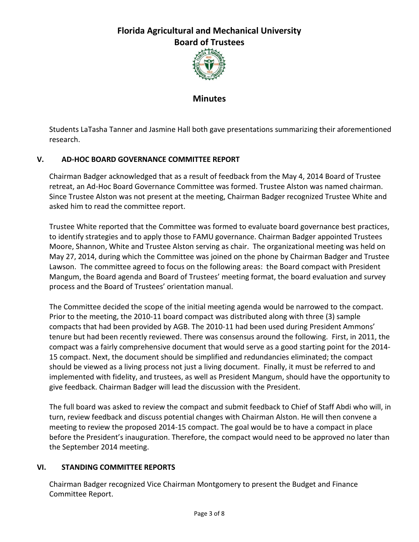

**Minutes**

Students LaTasha Tanner and Jasmine Hall both gave presentations summarizing their aforementioned research.

### **V. AD-HOC BOARD GOVERNANCE COMMITTEE REPORT**

Chairman Badger acknowledged that as a result of feedback from the May 4, 2014 Board of Trustee retreat, an Ad-Hoc Board Governance Committee was formed. Trustee Alston was named chairman. Since Trustee Alston was not present at the meeting, Chairman Badger recognized Trustee White and asked him to read the committee report.

Trustee White reported that the Committee was formed to evaluate board governance best practices, to identify strategies and to apply those to FAMU governance. Chairman Badger appointed Trustees Moore, Shannon, White and Trustee Alston serving as chair. The organizational meeting was held on May 27, 2014, during which the Committee was joined on the phone by Chairman Badger and Trustee Lawson. The committee agreed to focus on the following areas: the Board compact with President Mangum, the Board agenda and Board of Trustees' meeting format, the board evaluation and survey process and the Board of Trustees' orientation manual.

The Committee decided the scope of the initial meeting agenda would be narrowed to the compact. Prior to the meeting, the 2010-11 board compact was distributed along with three (3) sample compacts that had been provided by AGB. The 2010-11 had been used during President Ammons' tenure but had been recently reviewed. There was consensus around the following. First, in 2011, the compact was a fairly comprehensive document that would serve as a good starting point for the 2014- 15 compact. Next, the document should be simplified and redundancies eliminated; the compact should be viewed as a living process not just a living document. Finally, it must be referred to and implemented with fidelity, and trustees, as well as President Mangum, should have the opportunity to give feedback. Chairman Badger will lead the discussion with the President.

The full board was asked to review the compact and submit feedback to Chief of Staff Abdi who will, in turn, review feedback and discuss potential changes with Chairman Alston. He will then convene a meeting to review the proposed 2014-15 compact. The goal would be to have a compact in place before the President's inauguration. Therefore, the compact would need to be approved no later than the September 2014 meeting.

#### **VI. STANDING COMMITTEE REPORTS**

Chairman Badger recognized Vice Chairman Montgomery to present the Budget and Finance Committee Report.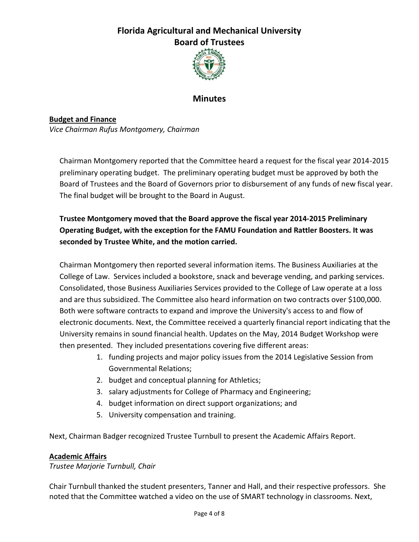

### **Minutes**

**Budget and Finance** *Vice Chairman Rufus Montgomery, Chairman*

Chairman Montgomery reported that the Committee heard a request for the fiscal year 2014-2015 preliminary operating budget. The preliminary operating budget must be approved by both the Board of Trustees and the Board of Governors prior to disbursement of any funds of new fiscal year. The final budget will be brought to the Board in August.

**Trustee Montgomery moved that the Board approve the fiscal year 2014-2015 Preliminary Operating Budget, with the exception for the FAMU Foundation and Rattler Boosters. It was seconded by Trustee White, and the motion carried.**

Chairman Montgomery then reported several information items. The Business Auxiliaries at the College of Law. Services included a bookstore, snack and beverage vending, and parking services. Consolidated, those Business Auxiliaries Services provided to the College of Law operate at a loss and are thus subsidized. The Committee also heard information on two contracts over \$100,000. Both were software contracts to expand and improve the University's access to and flow of electronic documents. Next, the Committee received a quarterly financial report indicating that the University remains in sound financial health. Updates on the May, 2014 Budget Workshop were then presented. They included presentations covering five different areas:

- 1. funding projects and major policy issues from the 2014 Legislative Session from Governmental Relations;
- 2. budget and conceptual planning for Athletics;
- 3. salary adjustments for College of Pharmacy and Engineering;
- 4. budget information on direct support organizations; and
- 5. University compensation and training.

Next, Chairman Badger recognized Trustee Turnbull to present the Academic Affairs Report.

#### **Academic Affairs**

*Trustee Marjorie Turnbull, Chair*

Chair Turnbull thanked the student presenters, Tanner and Hall, and their respective professors. She noted that the Committee watched a video on the use of SMART technology in classrooms. Next,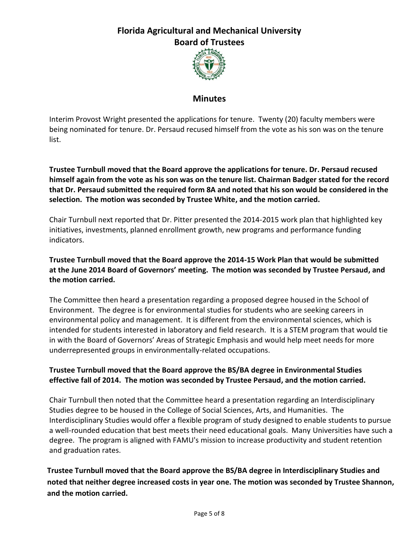

#### **Minutes**

Interim Provost Wright presented the applications for tenure. Twenty (20) faculty members were being nominated for tenure. Dr. Persaud recused himself from the vote as his son was on the tenure list.

**Trustee Turnbull moved that the Board approve the applications for tenure. Dr. Persaud recused himself again from the vote as his son was on the tenure list. Chairman Badger stated for the record that Dr. Persaud submitted the required form 8A and noted that his son would be considered in the selection. The motion was seconded by Trustee White, and the motion carried.** 

Chair Turnbull next reported that Dr. Pitter presented the 2014-2015 work plan that highlighted key initiatives, investments, planned enrollment growth, new programs and performance funding indicators.

### **Trustee Turnbull moved that the Board approve the 2014-15 Work Plan that would be submitted at the June 2014 Board of Governors' meeting. The motion was seconded by Trustee Persaud, and the motion carried.**

The Committee then heard a presentation regarding a proposed degree housed in the School of Environment. The degree is for environmental studies for students who are seeking careers in environmental policy and management. It is different from the environmental sciences, which is intended for students interested in laboratory and field research. It is a STEM program that would tie in with the Board of Governors' Areas of Strategic Emphasis and would help meet needs for more underrepresented groups in environmentally-related occupations.

### **Trustee Turnbull moved that the Board approve the BS/BA degree in Environmental Studies effective fall of 2014. The motion was seconded by Trustee Persaud, and the motion carried.**

Chair Turnbull then noted that the Committee heard a presentation regarding an Interdisciplinary Studies degree to be housed in the College of Social Sciences, Arts, and Humanities. The Interdisciplinary Studies would offer a flexible program of study designed to enable students to pursue a well-rounded education that best meets their need educational goals. Many Universities have such a degree. The program is aligned with FAMU's mission to increase productivity and student retention and graduation rates.

**Trustee Turnbull moved that the Board approve the BS/BA degree in Interdisciplinary Studies and noted that neither degree increased costs in year one. The motion was seconded by Trustee Shannon, and the motion carried.**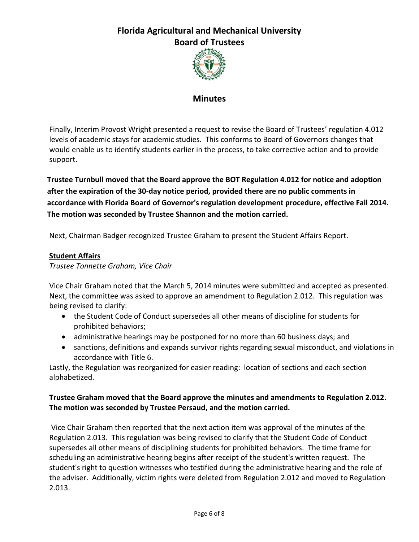

### **Minutes**

Finally, Interim Provost Wright presented a request to revise the Board of Trustees' regulation 4.012 levels of academic stays for academic studies. This conforms to Board of Governors changes that would enable us to identify students earlier in the process, to take corrective action and to provide support.

**Trustee Turnbull moved that the Board approve the BOT Regulation 4.012 for notice and adoption after the expiration of the 30-day notice period, provided there are no public comments in accordance with Florida Board of Governor's regulation development procedure, effective Fall 2014. The motion was seconded by Trustee Shannon and the motion carried.**

Next, Chairman Badger recognized Trustee Graham to present the Student Affairs Report.

#### **Student Affairs**

*Trustee Tonnette Graham, Vice Chair*

Vice Chair Graham noted that the March 5, 2014 minutes were submitted and accepted as presented. Next, the committee was asked to approve an amendment to Regulation 2.012. This regulation was being revised to clarify:

- the Student Code of Conduct supersedes all other means of discipline for students for prohibited behaviors;
- administrative hearings may be postponed for no more than 60 business days; and
- sanctions, definitions and expands survivor rights regarding sexual misconduct, and violations in accordance with Title 6.

Lastly, the Regulation was reorganized for easier reading: location of sections and each section alphabetized.

#### **Trustee Graham moved that the Board approve the minutes and amendments to Regulation 2.012. The motion was seconded by Trustee Persaud, and the motion carried.**

Vice Chair Graham then reported that the next action item was approval of the minutes of the Regulation 2.013. This regulation was being revised to clarify that the Student Code of Conduct supersedes all other means of disciplining students for prohibited behaviors. The time frame for scheduling an administrative hearing begins after receipt of the student's written request. The student's right to question witnesses who testified during the administrative hearing and the role of the adviser. Additionally, victim rights were deleted from Regulation 2.012 and moved to Regulation 2.013.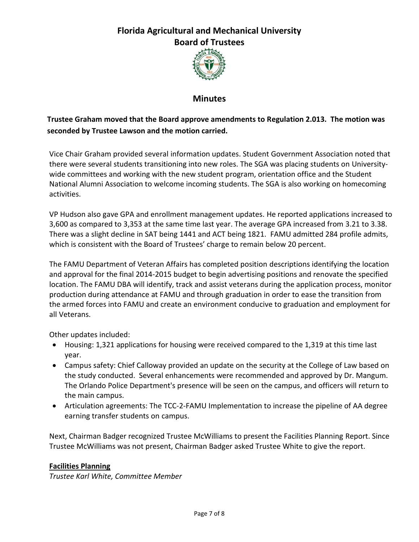

### **Minutes**

### **Trustee Graham moved that the Board approve amendments to Regulation 2.013. The motion was seconded by Trustee Lawson and the motion carried.**

Vice Chair Graham provided several information updates. Student Government Association noted that there were several students transitioning into new roles. The SGA was placing students on Universitywide committees and working with the new student program, orientation office and the Student National Alumni Association to welcome incoming students. The SGA is also working on homecoming activities.

VP Hudson also gave GPA and enrollment management updates. He reported applications increased to 3,600 as compared to 3,353 at the same time last year. The average GPA increased from 3.21 to 3.38. There was a slight decline in SAT being 1441 and ACT being 1821. FAMU admitted 284 profile admits, which is consistent with the Board of Trustees' charge to remain below 20 percent.

The FAMU Department of Veteran Affairs has completed position descriptions identifying the location and approval for the final 2014-2015 budget to begin advertising positions and renovate the specified location. The FAMU DBA will identify, track and assist veterans during the application process, monitor production during attendance at FAMU and through graduation in order to ease the transition from the armed forces into FAMU and create an environment conducive to graduation and employment for all Veterans.

Other updates included:

- Housing: 1,321 applications for housing were received compared to the 1,319 at this time last year.
- Campus safety: Chief Calloway provided an update on the security at the College of Law based on the study conducted. Several enhancements were recommended and approved by Dr. Mangum. The Orlando Police Department's presence will be seen on the campus, and officers will return to the main campus.
- Articulation agreements: The TCC-2-FAMU Implementation to increase the pipeline of AA degree earning transfer students on campus.

Next, Chairman Badger recognized Trustee McWilliams to present the Facilities Planning Report. Since Trustee McWilliams was not present, Chairman Badger asked Trustee White to give the report.

#### **Facilities Planning**

*Trustee Karl White, Committee Member*